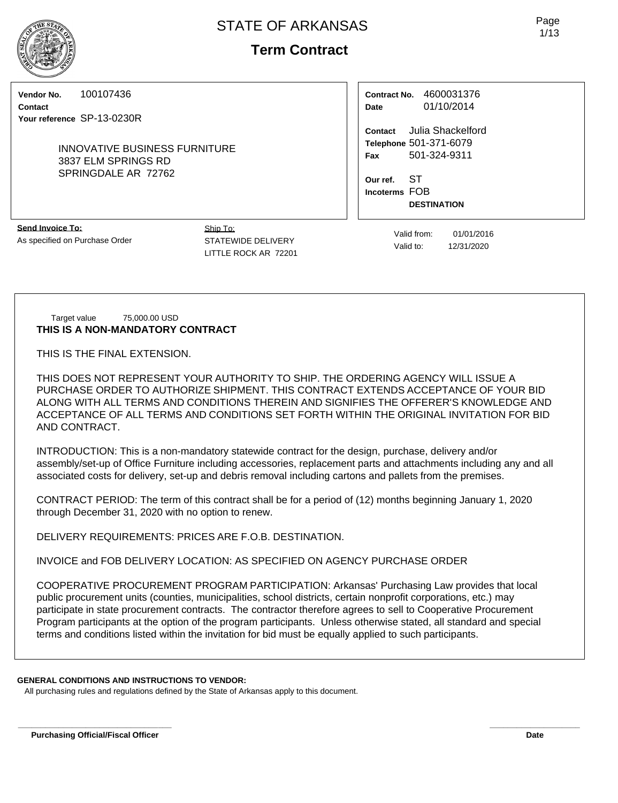# **Term Contract**

**Vendor No.** 100107436

**Contact Your reference** SP-13-0230R

> INNOVATIVE BUSINESS FURNITURE 3837 ELM SPRINGS RD SPRINGDALE AR 72762

**Contract No.** 4600031376 **Date** 01/10/2014

**Contact** Julia Shackelford **Telephone** 501-371-6079 **Fax** 501-324-9311

**Our ref.** ST **Incoterms** FOB **DESTINATION**

**Send Invoice To:** As specified on Purchase Order Ship To: STATEWIDE DELIVERY LITTLE ROCK AR 72201

Valid from: 01/01/2016 Valid to: 12/31/2020

Target value 75,000.00 USD **THIS IS A NON-MANDATORY CONTRACT**

THIS IS THE FINAL EXTENSION.

THIS DOES NOT REPRESENT YOUR AUTHORITY TO SHIP. THE ORDERING AGENCY WILL ISSUE A PURCHASE ORDER TO AUTHORIZE SHIPMENT. THIS CONTRACT EXTENDS ACCEPTANCE OF YOUR BID ALONG WITH ALL TERMS AND CONDITIONS THEREIN AND SIGNIFIES THE OFFERER'S KNOWLEDGE AND ACCEPTANCE OF ALL TERMS AND CONDITIONS SET FORTH WITHIN THE ORIGINAL INVITATION FOR BID AND CONTRACT.

INTRODUCTION: This is a non-mandatory statewide contract for the design, purchase, delivery and/or assembly/set-up of Office Furniture including accessories, replacement parts and attachments including any and all associated costs for delivery, set-up and debris removal including cartons and pallets from the premises.

CONTRACT PERIOD: The term of this contract shall be for a period of (12) months beginning January 1, 2020 through December 31, 2020 with no option to renew.

DELIVERY REQUIREMENTS: PRICES ARE F.O.B. DESTINATION.

INVOICE and FOB DELIVERY LOCATION: AS SPECIFIED ON AGENCY PURCHASE ORDER

COOPERATIVE PROCUREMENT PROGRAM PARTICIPATION: Arkansas' Purchasing Law provides that local public procurement units (counties, municipalities, school districts, certain nonprofit corporations, etc.) may participate in state procurement contracts. The contractor therefore agrees to sell to Cooperative Procurement Program participants at the option of the program participants. Unless otherwise stated, all standard and special terms and conditions listed within the invitation for bid must be equally applied to such participants.

## **GENERAL CONDITIONS AND INSTRUCTIONS TO VENDOR:**

All purchasing rules and regulations defined by the State of Arkansas apply to this document.

Page 1/13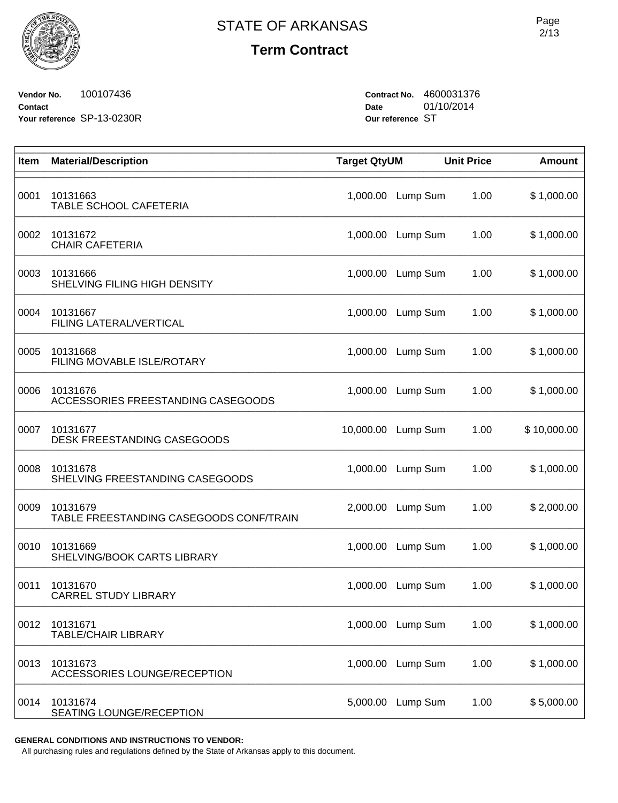**Term Contract**

**Vendor No.** 100107436 **Contact Your reference** SP-13-0230R **Contract No.** 4600031376 **Date** 01/10/2014 **Our reference** ST

| Item | <b>Material/Description</b>                         | <b>Target QtyUM</b> |          | <b>Unit Price</b> | <b>Amount</b> |
|------|-----------------------------------------------------|---------------------|----------|-------------------|---------------|
| 0001 | 10131663<br>TABLE SCHOOL CAFETERIA                  | 1,000.00            | Lump Sum | 1.00              | \$1,000.00    |
| 0002 | 10131672<br><b>CHAIR CAFETERIA</b>                  | 1,000.00            | Lump Sum | 1.00              | \$1,000.00    |
| 0003 | 10131666<br>SHELVING FILING HIGH DENSITY            | 1,000.00            | Lump Sum | 1.00              | \$1,000.00    |
| 0004 | 10131667<br>FILING LATERAL/VERTICAL                 | 1,000.00            | Lump Sum | 1.00              | \$1,000.00    |
| 0005 | 10131668<br>FILING MOVABLE ISLE/ROTARY              | 1,000.00            | Lump Sum | 1.00              | \$1,000.00    |
| 0006 | 10131676<br>ACCESSORIES FREESTANDING CASEGOODS      | 1,000.00            | Lump Sum | 1.00              | \$1,000.00    |
| 0007 | 10131677<br>DESK FREESTANDING CASEGOODS             | 10,000.00           | Lump Sum | 1.00              | \$10,000.00   |
| 0008 | 10131678<br>SHELVING FREESTANDING CASEGOODS         | 1,000.00            | Lump Sum | 1.00              | \$1,000.00    |
| 0009 | 10131679<br>TABLE FREESTANDING CASEGOODS CONF/TRAIN | 2,000.00            | Lump Sum | 1.00              | \$2,000.00    |
| 0010 | 10131669<br>SHELVING/BOOK CARTS LIBRARY             | 1,000.00            | Lump Sum | 1.00              | \$1,000.00    |
| 0011 | 10131670<br><b>CARREL STUDY LIBRARY</b>             | 1,000.00            | Lump Sum | 1.00              | \$1,000.00    |
| 0012 | 10131671<br><b>TABLE/CHAIR LIBRARY</b>              | 1,000.00            | Lump Sum | 1.00              | \$1,000.00    |
| 0013 | 10131673<br><b>ACCESSORIES LOUNGE/RECEPTION</b>     | 1,000.00            | Lump Sum | 1.00              | \$1,000.00    |
| 0014 | 10131674<br>SEATING LOUNGE/RECEPTION                | 5,000.00            | Lump Sum | 1.00              | \$5,000.00    |

**GENERAL CONDITIONS AND INSTRUCTIONS TO VENDOR:**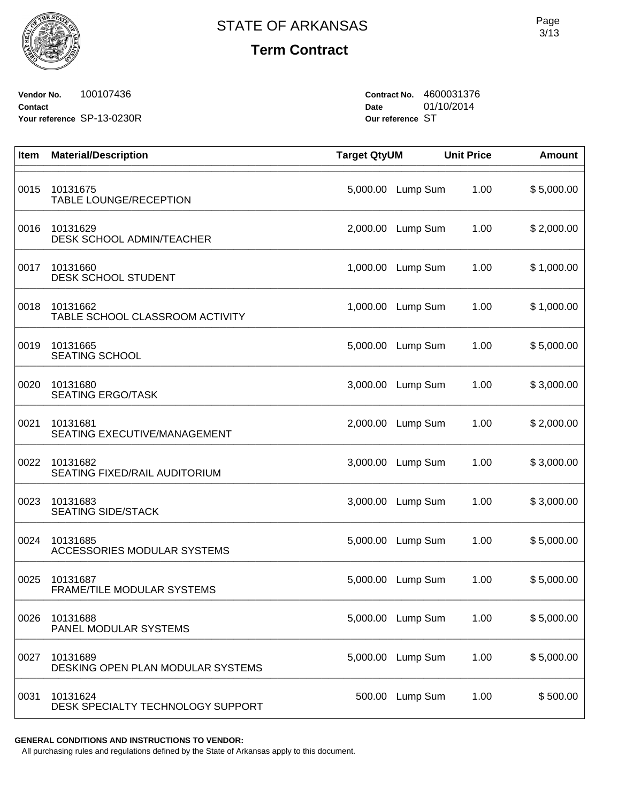

# **Term Contract**

**Vendor No.** 100107436 **Contact Your reference** SP-13-0230R **Contract No.** 4600031376 **Date** 01/10/2014 **Our reference** ST

| Item | <b>Material/Description</b>                   | <b>Target QtyUM</b> |                   | <b>Unit Price</b> | <b>Amount</b> |
|------|-----------------------------------------------|---------------------|-------------------|-------------------|---------------|
| 0015 | 10131675<br>TABLE LOUNGE/RECEPTION            | 5,000.00            | Lump Sum          | 1.00              | \$5,000.00    |
| 0016 | 10131629<br>DESK SCHOOL ADMIN/TEACHER         |                     | 2,000.00 Lump Sum | 1.00              | \$2,000.00    |
| 0017 | 10131660<br><b>DESK SCHOOL STUDENT</b>        | 1,000.00            | Lump Sum          | 1.00              | \$1,000.00    |
| 0018 | 10131662<br>TABLE SCHOOL CLASSROOM ACTIVITY   | 1,000.00            | Lump Sum          | 1.00              | \$1,000.00    |
| 0019 | 10131665<br><b>SEATING SCHOOL</b>             | 5,000.00            | Lump Sum          | 1.00              | \$5,000.00    |
| 0020 | 10131680<br><b>SEATING ERGO/TASK</b>          | 3,000.00            | Lump Sum          | 1.00              | \$3,000.00    |
| 0021 | 10131681<br>SEATING EXECUTIVE/MANAGEMENT      | 2,000.00            | Lump Sum          | 1.00              | \$2,000.00    |
| 0022 | 10131682<br>SEATING FIXED/RAIL AUDITORIUM     | 3,000.00            | Lump Sum          | 1.00              | \$3,000.00    |
| 0023 | 10131683<br><b>SEATING SIDE/STACK</b>         | 3,000.00            | Lump Sum          | 1.00              | \$3,000.00    |
| 0024 | 10131685<br>ACCESSORIES MODULAR SYSTEMS       | 5,000.00            | Lump Sum          | 1.00              | \$5,000.00    |
| 0025 | 10131687<br>FRAME/TILE MODULAR SYSTEMS        | 5,000.00            | Lump Sum          | 1.00              | \$5,000.00    |
| 0026 | 10131688<br>PANEL MODULAR SYSTEMS             |                     | 5,000.00 Lump Sum | 1.00              | \$5,000.00    |
| 0027 | 10131689<br>DESKING OPEN PLAN MODULAR SYSTEMS |                     | 5,000.00 Lump Sum | 1.00              | \$5,000.00    |
| 0031 | 10131624<br>DESK SPECIALTY TECHNOLOGY SUPPORT |                     | 500.00 Lump Sum   | 1.00              | \$500.00      |

**GENERAL CONDITIONS AND INSTRUCTIONS TO VENDOR:**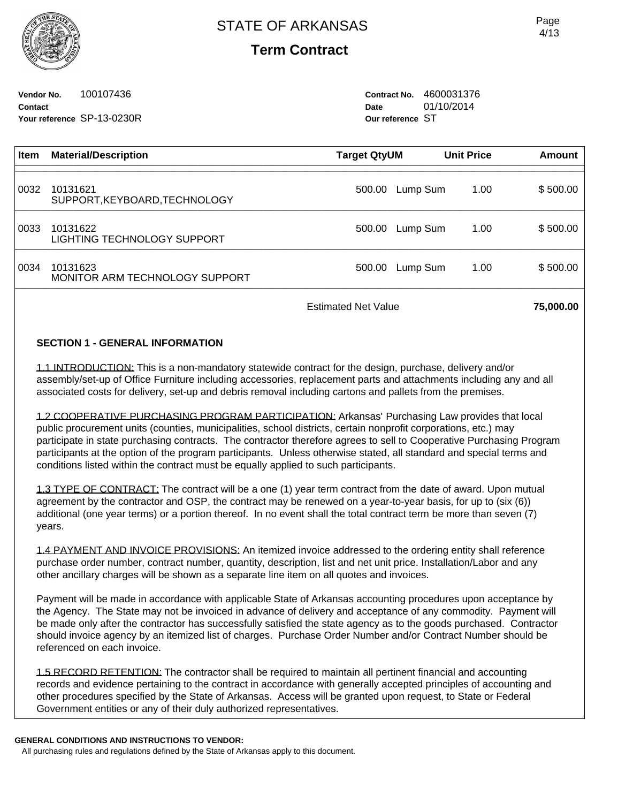**Term Contract**

**Vendor No.** 100107436 **Contact Your reference** SP-13-0230R **Contract No.** 4600031376 **Date** 01/10/2014 **Our reference** ST

| <b>Item</b> | <b>Material/Description</b>                | Target QtyUM | <b>Unit Price</b> | Amount   |
|-------------|--------------------------------------------|--------------|-------------------|----------|
| 0032        | 10131621<br>SUPPORT, KEYBOARD, TECHNOLOGY  | 500.00       | Lump Sum<br>1.00  | \$500.00 |
| 0033        | 10131622<br>LIGHTING TECHNOLOGY SUPPORT    | 500.00       | Lump Sum<br>1.00  | \$500.00 |
| 0034        | 10131623<br>MONITOR ARM TECHNOLOGY SUPPORT | 500.00       | 1.00<br>Lump Sum  | \$500.00 |
|             |                                            |              |                   |          |

Estimated Net Value **75,000.00** 

## **SECTION 1 - GENERAL INFORMATION**

1.1 INTRODUCTION: This is a non-mandatory statewide contract for the design, purchase, delivery and/or assembly/set-up of Office Furniture including accessories, replacement parts and attachments including any and all associated costs for delivery, set-up and debris removal including cartons and pallets from the premises.

1.2 COOPERATIVE PURCHASING PROGRAM PARTICIPATION: Arkansas' Purchasing Law provides that local public procurement units (counties, municipalities, school districts, certain nonprofit corporations, etc.) may participate in state purchasing contracts. The contractor therefore agrees to sell to Cooperative Purchasing Program participants at the option of the program participants. Unless otherwise stated, all standard and special terms and conditions listed within the contract must be equally applied to such participants.

1.3 TYPE OF CONTRACT: The contract will be a one (1) year term contract from the date of award. Upon mutual agreement by the contractor and OSP, the contract may be renewed on a year-to-year basis, for up to (six (6)) additional (one year terms) or a portion thereof. In no event shall the total contract term be more than seven (7) years.

1.4 PAYMENT AND INVOICE PROVISIONS: An itemized invoice addressed to the ordering entity shall reference purchase order number, contract number, quantity, description, list and net unit price. Installation/Labor and any other ancillary charges will be shown as a separate line item on all quotes and invoices.

Payment will be made in accordance with applicable State of Arkansas accounting procedures upon acceptance by the Agency. The State may not be invoiced in advance of delivery and acceptance of any commodity. Payment will be made only after the contractor has successfully satisfied the state agency as to the goods purchased. Contractor should invoice agency by an itemized list of charges. Purchase Order Number and/or Contract Number should be referenced on each invoice.

1.5 RECORD RETENTION: The contractor shall be required to maintain all pertinent financial and accounting records and evidence pertaining to the contract in accordance with generally accepted principles of accounting and other procedures specified by the State of Arkansas. Access will be granted upon request, to State or Federal Government entities or any of their duly authorized representatives.

#### **GENERAL CONDITIONS AND INSTRUCTIONS TO VENDOR:**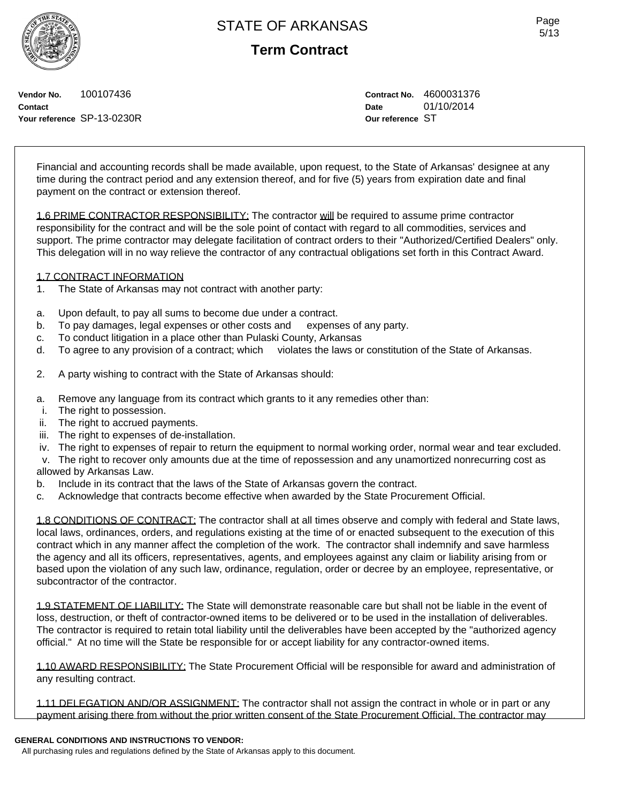**Term Contract**

**Vendor No.** 100107436 **Contact Your reference** SP-13-0230R **Contract No.** 4600031376 **Date** 01/10/2014 **Our reference** ST

Financial and accounting records shall be made available, upon request, to the State of Arkansas' designee at any time during the contract period and any extension thereof, and for five (5) years from expiration date and final payment on the contract or extension thereof.

1.6 PRIME CONTRACTOR RESPONSIBILITY: The contractor will be required to assume prime contractor responsibility for the contract and will be the sole point of contact with regard to all commodities, services and support. The prime contractor may delegate facilitation of contract orders to their "Authorized/Certified Dealers" only. This delegation will in no way relieve the contractor of any contractual obligations set forth in this Contract Award.

### 1.7 CONTRACT INFORMATION

- 1. The State of Arkansas may not contract with another party:
- a. Upon default, to pay all sums to become due under a contract.
- b. To pay damages, legal expenses or other costs and expenses of any party.
- c. To conduct litigation in a place other than Pulaski County, Arkansas
- d. To agree to any provision of a contract; which violates the laws or constitution of the State of Arkansas.
- 2. A party wishing to contract with the State of Arkansas should:
- a. Remove any language from its contract which grants to it any remedies other than:
- i. The right to possession.
- ii. The right to accrued payments.
- iii. The right to expenses of de-installation.
- iv. The right to expenses of repair to return the equipment to normal working order, normal wear and tear excluded.
- v. The right to recover only amounts due at the time of repossession and any unamortized nonrecurring cost as allowed by Arkansas Law.
- b. Include in its contract that the laws of the State of Arkansas govern the contract.
- c. Acknowledge that contracts become effective when awarded by the State Procurement Official.

1.8 CONDITIONS OF CONTRACT: The contractor shall at all times observe and comply with federal and State laws, local laws, ordinances, orders, and regulations existing at the time of or enacted subsequent to the execution of this contract which in any manner affect the completion of the work. The contractor shall indemnify and save harmless the agency and all its officers, representatives, agents, and employees against any claim or liability arising from or based upon the violation of any such law, ordinance, regulation, order or decree by an employee, representative, or subcontractor of the contractor.

1.9 STATEMENT OF LIABILITY: The State will demonstrate reasonable care but shall not be liable in the event of loss, destruction, or theft of contractor-owned items to be delivered or to be used in the installation of deliverables. The contractor is required to retain total liability until the deliverables have been accepted by the "authorized agency official." At no time will the State be responsible for or accept liability for any contractor-owned items.

1.10 AWARD RESPONSIBILITY: The State Procurement Official will be responsible for award and administration of any resulting contract.

1.11 DELEGATION AND/OR ASSIGNMENT: The contractor shall not assign the contract in whole or in part or any payment arising there from without the prior written consent of the State Procurement Official. The contractor may

## **GENERAL CONDITIONS AND INSTRUCTIONS TO VENDOR:**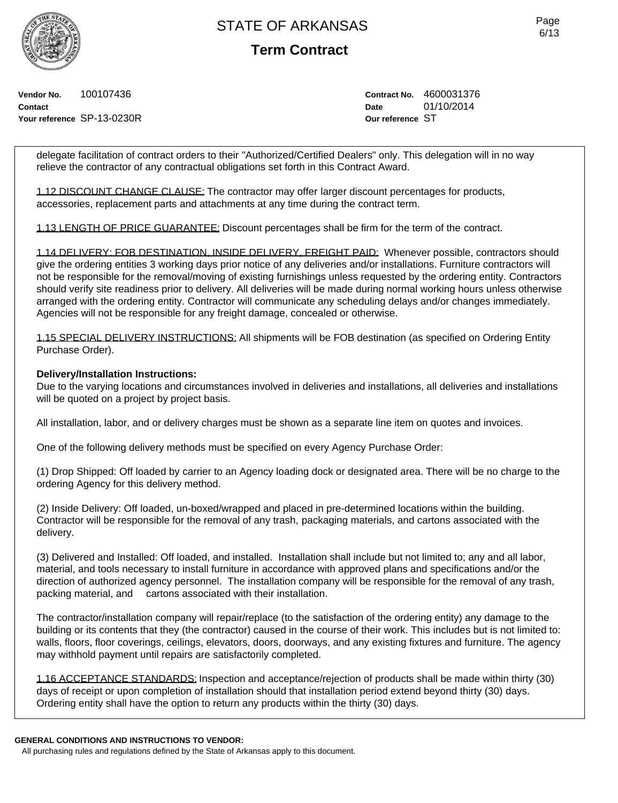**Term Contract**

**Vendor No.** 100107436 **Contact Your reference** SP-13-0230R **Contract No.** 4600031376 **Date** 01/10/2014 **Our reference** ST

delegate facilitation of contract orders to their "Authorized/Certified Dealers" only. This delegation will in no way relieve the contractor of any contractual obligations set forth in this Contract Award.

1.12 DISCOUNT CHANGE CLAUSE: The contractor may offer larger discount percentages for products, accessories, replacement parts and attachments at any time during the contract term.

1.13 LENGTH OF PRICE GUARANTEE: Discount percentages shall be firm for the term of the contract.

1.14 DELIVERY: FOB DESTINATION, INSIDE DELIVERY, FREIGHT PAID: Whenever possible, contractors should give the ordering entities 3 working days prior notice of any deliveries and/or installations. Furniture contractors will not be responsible for the removal/moving of existing furnishings unless requested by the ordering entity. Contractors should verify site readiness prior to delivery. All deliveries will be made during normal working hours unless otherwise arranged with the ordering entity. Contractor will communicate any scheduling delays and/or changes immediately. Agencies will not be responsible for any freight damage, concealed or otherwise.

1.15 SPECIAL DELIVERY INSTRUCTIONS: All shipments will be FOB destination (as specified on Ordering Entity Purchase Order).

### **Delivery/Installation Instructions:**

Due to the varying locations and circumstances involved in deliveries and installations, all deliveries and installations will be quoted on a project by project basis.

All installation, labor, and or delivery charges must be shown as a separate line item on quotes and invoices.

One of the following delivery methods must be specified on every Agency Purchase Order:

(1) Drop Shipped: Off loaded by carrier to an Agency loading dock or designated area. There will be no charge to the ordering Agency for this delivery method.

(2) Inside Delivery: Off loaded, un-boxed/wrapped and placed in pre-determined locations within the building. Contractor will be responsible for the removal of any trash, packaging materials, and cartons associated with the delivery.

(3) Delivered and Installed: Off loaded, and installed. Installation shall include but not limited to; any and all labor, material, and tools necessary to install furniture in accordance with approved plans and specifications and/or the direction of authorized agency personnel. The installation company will be responsible for the removal of any trash, packing material, and cartons associated with their installation.

The contractor/installation company will repair/replace (to the satisfaction of the ordering entity) any damage to the building or its contents that they (the contractor) caused in the course of their work. This includes but is not limited to: walls, floors, floor coverings, ceilings, elevators, doors, doorways, and any existing fixtures and furniture. The agency may withhold payment until repairs are satisfactorily completed.

1.16 ACCEPTANCE STANDARDS: Inspection and acceptance/rejection of products shall be made within thirty (30) days of receipt or upon completion of installation should that installation period extend beyond thirty (30) days. Ordering entity shall have the option to return any products within the thirty (30) days.

#### **GENERAL CONDITIONS AND INSTRUCTIONS TO VENDOR:**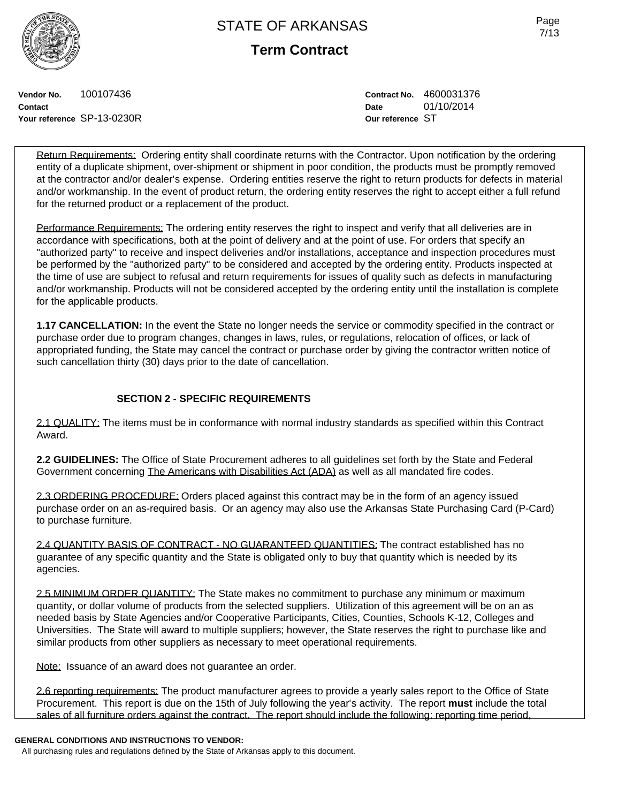**Term Contract**

**Vendor No.** 100107436 **Contact Your reference** SP-13-0230R **Contract No.** 4600031376 **Date** 01/10/2014 **Our reference** ST

Return Requirements: Ordering entity shall coordinate returns with the Contractor. Upon notification by the ordering entity of a duplicate shipment, over-shipment or shipment in poor condition, the products must be promptly removed at the contractor and/or dealer's expense. Ordering entities reserve the right to return products for defects in material and/or workmanship. In the event of product return, the ordering entity reserves the right to accept either a full refund for the returned product or a replacement of the product.

Performance Requirements: The ordering entity reserves the right to inspect and verify that all deliveries are in accordance with specifications, both at the point of delivery and at the point of use. For orders that specify an "authorized party" to receive and inspect deliveries and/or installations, acceptance and inspection procedures must be performed by the "authorized party" to be considered and accepted by the ordering entity. Products inspected at the time of use are subject to refusal and return requirements for issues of quality such as defects in manufacturing and/or workmanship. Products will not be considered accepted by the ordering entity until the installation is complete for the applicable products.

**1.17 CANCELLATION:** In the event the State no longer needs the service or commodity specified in the contract or purchase order due to program changes, changes in laws, rules, or regulations, relocation of offices, or lack of appropriated funding, the State may cancel the contract or purchase order by giving the contractor written notice of such cancellation thirty (30) days prior to the date of cancellation.

# **SECTION 2 - SPECIFIC REQUIREMENTS**

2.1 QUALITY: The items must be in conformance with normal industry standards as specified within this Contract Award.

**2.2 GUIDELINES:** The Office of State Procurement adheres to all guidelines set forth by the State and Federal Government concerning The Americans with Disabilities Act (ADA) as well as all mandated fire codes.

2.3 ORDERING PROCEDURE: Orders placed against this contract may be in the form of an agency issued purchase order on an as-required basis. Or an agency may also use the Arkansas State Purchasing Card (P-Card) to purchase furniture.

2.4 QUANTITY BASIS OF CONTRACT - NO GUARANTEED QUANTITIES: The contract established has no guarantee of any specific quantity and the State is obligated only to buy that quantity which is needed by its agencies.

2.5 MINIMUM ORDER QUANTITY: The State makes no commitment to purchase any minimum or maximum quantity, or dollar volume of products from the selected suppliers. Utilization of this agreement will be on an as needed basis by State Agencies and/or Cooperative Participants, Cities, Counties, Schools K-12, Colleges and Universities. The State will award to multiple suppliers; however, the State reserves the right to purchase like and similar products from other suppliers as necessary to meet operational requirements.

Note: Issuance of an award does not quarantee an order.

2.6 reporting requirements: The product manufacturer agrees to provide a yearly sales report to the Office of State Procurement. This report is due on the 15th of July following the year's activity. The report **must** include the total sales of all furniture orders against the contract. The report should include the following: reporting time period,

## **GENERAL CONDITIONS AND INSTRUCTIONS TO VENDOR:**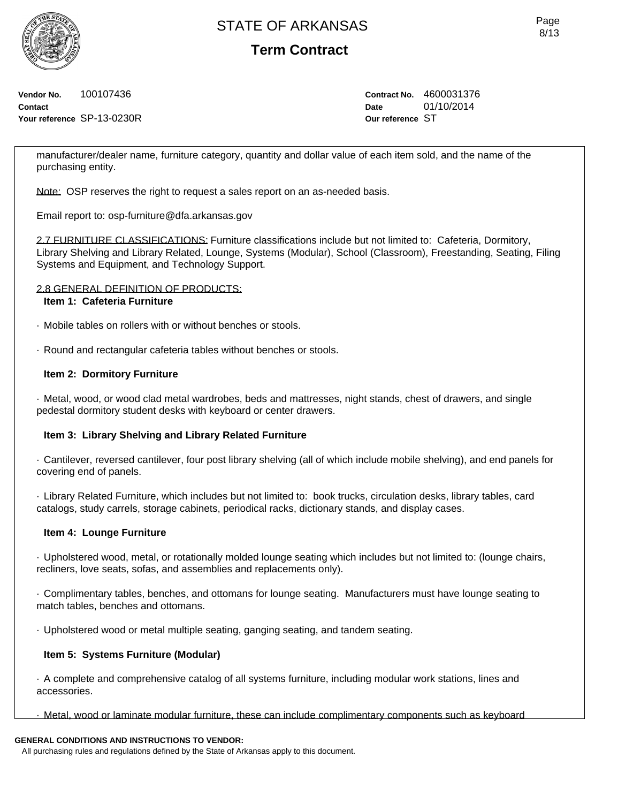**Term Contract**

**Vendor No.** 100107436 **Contact Your reference** SP-13-0230R **Contract No.** 4600031376 **Date** 01/10/2014 **Our reference** ST

manufacturer/dealer name, furniture category, quantity and dollar value of each item sold, and the name of the purchasing entity.

Note: OSP reserves the right to request a sales report on an as-needed basis.

Email report to: osp-furniture@dfa.arkansas.gov

2.7 FURNITURE CLASSIFICATIONS: Furniture classifications include but not limited to: Cafeteria, Dormitory, Library Shelving and Library Related, Lounge, Systems (Modular), School (Classroom), Freestanding, Seating, Filing Systems and Equipment, and Technology Support.

### 2.8 GENERAL DEFINITION OF PRODUCTS:

## **Item 1: Cafeteria Furniture**

- · Mobile tables on rollers with or without benches or stools.
- · Round and rectangular cafeteria tables without benches or stools.

### **Item 2: Dormitory Furniture**

· Metal, wood, or wood clad metal wardrobes, beds and mattresses, night stands, chest of drawers, and single pedestal dormitory student desks with keyboard or center drawers.

### **Item 3: Library Shelving and Library Related Furniture**

· Cantilever, reversed cantilever, four post library shelving (all of which include mobile shelving), and end panels for covering end of panels.

· Library Related Furniture, which includes but not limited to: book trucks, circulation desks, library tables, card catalogs, study carrels, storage cabinets, periodical racks, dictionary stands, and display cases.

### **Item 4: Lounge Furniture**

· Upholstered wood, metal, or rotationally molded lounge seating which includes but not limited to: (lounge chairs, recliners, love seats, sofas, and assemblies and replacements only).

· Complimentary tables, benches, and ottomans for lounge seating. Manufacturers must have lounge seating to match tables, benches and ottomans.

· Upholstered wood or metal multiple seating, ganging seating, and tandem seating.

## **Item 5: Systems Furniture (Modular)**

· A complete and comprehensive catalog of all systems furniture, including modular work stations, lines and accessories.

· Metal, wood or laminate modular furniture, these can include complimentary components such as keyboard

## **GENERAL CONDITIONS AND INSTRUCTIONS TO VENDOR:**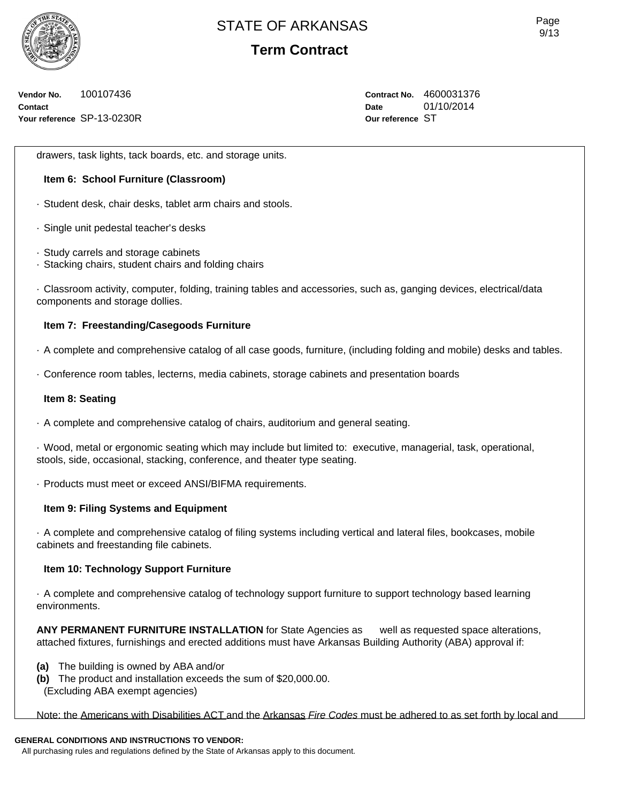

**Term Contract**

**Vendor No.** 100107436 **Contact Your reference** SP-13-0230R **Contract No.** 4600031376 **Date** 01/10/2014 **Our reference** ST

drawers, task lights, tack boards, etc. and storage units.

## **Item 6: School Furniture (Classroom)**

- · Student desk, chair desks, tablet arm chairs and stools.
- · Single unit pedestal teacher's desks
- · Study carrels and storage cabinets
- · Stacking chairs, student chairs and folding chairs

· Classroom activity, computer, folding, training tables and accessories, such as, ganging devices, electrical/data components and storage dollies.

## **Item 7: Freestanding/Casegoods Furniture**

- · A complete and comprehensive catalog of all case goods, furniture, (including folding and mobile) desks and tables.
- · Conference room tables, lecterns, media cabinets, storage cabinets and presentation boards

### **Item 8: Seating**

· A complete and comprehensive catalog of chairs, auditorium and general seating.

· Wood, metal or ergonomic seating which may include but limited to: executive, managerial, task, operational, stools, side, occasional, stacking, conference, and theater type seating.

· Products must meet or exceed ANSI/BIFMA requirements.

### **Item 9: Filing Systems and Equipment**

· A complete and comprehensive catalog of filing systems including vertical and lateral files, bookcases, mobile cabinets and freestanding file cabinets.

### **Item 10: Technology Support Furniture**

· A complete and comprehensive catalog of technology support furniture to support technology based learning environments.

**ANY PERMANENT FURNITURE INSTALLATION** for State Agencies as well as requested space alterations, attached fixtures, furnishings and erected additions must have Arkansas Building Authority (ABA) approval if:

- **(a)** The building is owned by ABA and/or
- **(b)** The product and installation exceeds the sum of \$20,000.00. (Excluding ABA exempt agencies)

Note: the Americans with Disabilities ACT and the Arkansas *Fire Codes* must be adhered to as set forth by local and

## **GENERAL CONDITIONS AND INSTRUCTIONS TO VENDOR:**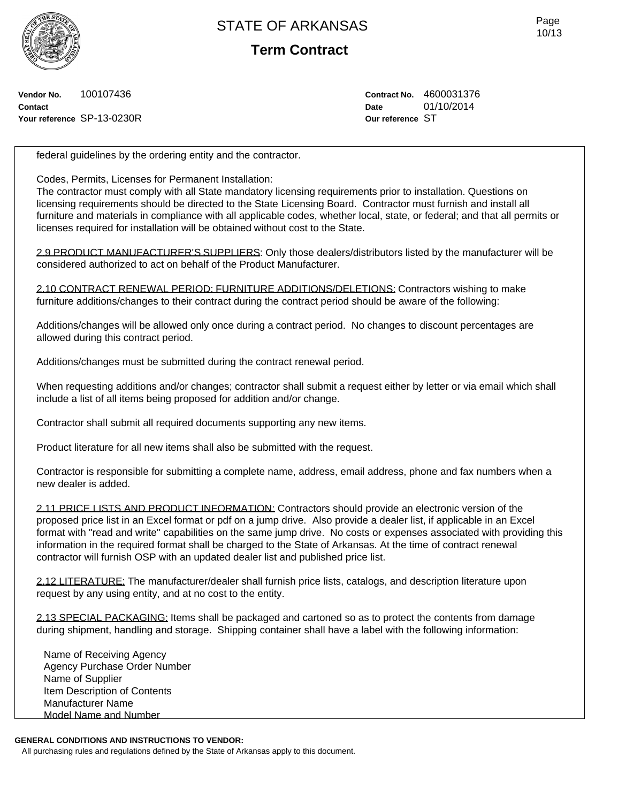

**Term Contract**

**Vendor No.** 100107436 **Contact Your reference** SP-13-0230R **Contract No.** 4600031376 **Date** 01/10/2014 **Our reference** ST

federal guidelines by the ordering entity and the contractor.

Codes, Permits, Licenses for Permanent Installation:

The contractor must comply with all State mandatory licensing requirements prior to installation. Questions on licensing requirements should be directed to the State Licensing Board. Contractor must furnish and install all furniture and materials in compliance with all applicable codes, whether local, state, or federal; and that all permits or licenses required for installation will be obtained without cost to the State.

2.9 PRODUCT MANUFACTURER'S SUPPLIERS: Only those dealers/distributors listed by the manufacturer will be considered authorized to act on behalf of the Product Manufacturer.

2.10 CONTRACT RENEWAL PERIOD: FURNITURE ADDITIONS/DELETIONS: Contractors wishing to make furniture additions/changes to their contract during the contract period should be aware of the following:

Additions/changes will be allowed only once during a contract period. No changes to discount percentages are allowed during this contract period.

Additions/changes must be submitted during the contract renewal period.

When requesting additions and/or changes; contractor shall submit a request either by letter or via email which shall include a list of all items being proposed for addition and/or change.

Contractor shall submit all required documents supporting any new items.

Product literature for all new items shall also be submitted with the request.

Contractor is responsible for submitting a complete name, address, email address, phone and fax numbers when a new dealer is added.

2.11 PRICE LISTS AND PRODUCT INFORMATION: Contractors should provide an electronic version of the proposed price list in an Excel format or pdf on a jump drive. Also provide a dealer list, if applicable in an Excel format with "read and write" capabilities on the same jump drive. No costs or expenses associated with providing this information in the required format shall be charged to the State of Arkansas. At the time of contract renewal contractor will furnish OSP with an updated dealer list and published price list.

2.12 LITERATURE: The manufacturer/dealer shall furnish price lists, catalogs, and description literature upon request by any using entity, and at no cost to the entity.

2.13 SPECIAL PACKAGING: Items shall be packaged and cartoned so as to protect the contents from damage during shipment, handling and storage. Shipping container shall have a label with the following information:

Name of Receiving Agency Agency Purchase Order Number Name of Supplier Item Description of Contents Manufacturer Name Model Name and Number

#### **GENERAL CONDITIONS AND INSTRUCTIONS TO VENDOR:**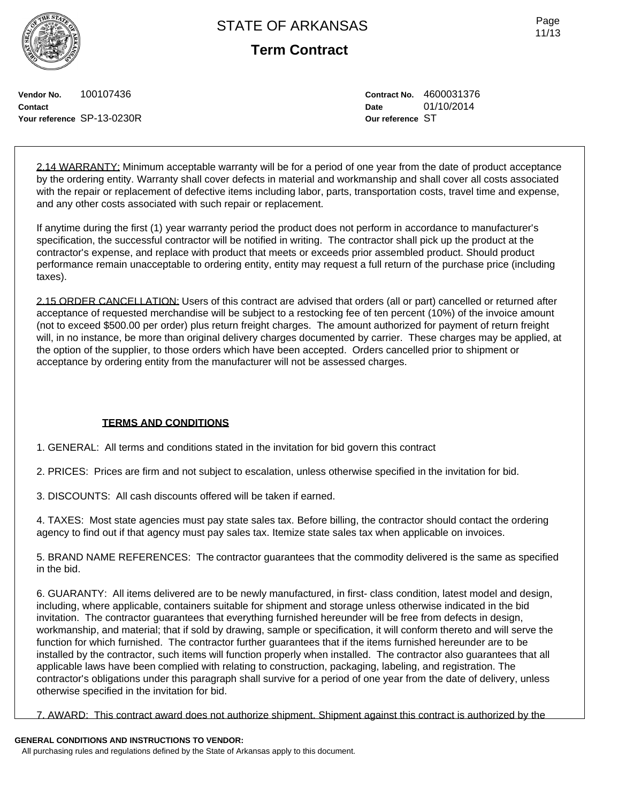**Term Contract**

Page 11/13

**Vendor No.** 100107436 **Contact Your reference** SP-13-0230R **Contract No.** 4600031376 **Date** 01/10/2014 **Our reference** ST

2.14 WARRANTY: Minimum acceptable warranty will be for a period of one year from the date of product acceptance by the ordering entity. Warranty shall cover defects in material and workmanship and shall cover all costs associated with the repair or replacement of defective items including labor, parts, transportation costs, travel time and expense, and any other costs associated with such repair or replacement.

If anytime during the first (1) year warranty period the product does not perform in accordance to manufacturer's specification, the successful contractor will be notified in writing. The contractor shall pick up the product at the contractor's expense, and replace with product that meets or exceeds prior assembled product. Should product performance remain unacceptable to ordering entity, entity may request a full return of the purchase price (including taxes).

2.15 ORDER CANCELLATION: Users of this contract are advised that orders (all or part) cancelled or returned after acceptance of requested merchandise will be subject to a restocking fee of ten percent (10%) of the invoice amount (not to exceed \$500.00 per order) plus return freight charges. The amount authorized for payment of return freight will, in no instance, be more than original delivery charges documented by carrier. These charges may be applied, at the option of the supplier, to those orders which have been accepted. Orders cancelled prior to shipment or acceptance by ordering entity from the manufacturer will not be assessed charges.

## **TERMS AND CONDITIONS**

1. GENERAL: All terms and conditions stated in the invitation for bid govern this contract

2. PRICES: Prices are firm and not subject to escalation, unless otherwise specified in the invitation for bid.

3. DISCOUNTS: All cash discounts offered will be taken if earned.

4. TAXES: Most state agencies must pay state sales tax. Before billing, the contractor should contact the ordering agency to find out if that agency must pay sales tax. Itemize state sales tax when applicable on invoices.

5. BRAND NAME REFERENCES: The contractor guarantees that the commodity delivered is the same as specified in the bid.

6. GUARANTY: All items delivered are to be newly manufactured, in first- class condition, latest model and design, including, where applicable, containers suitable for shipment and storage unless otherwise indicated in the bid invitation. The contractor guarantees that everything furnished hereunder will be free from defects in design, workmanship, and material; that if sold by drawing, sample or specification, it will conform thereto and will serve the function for which furnished. The contractor further guarantees that if the items furnished hereunder are to be installed by the contractor, such items will function properly when installed. The contractor also guarantees that all applicable laws have been complied with relating to construction, packaging, labeling, and registration. The contractor's obligations under this paragraph shall survive for a period of one year from the date of delivery, unless otherwise specified in the invitation for bid.

7. AWARD: This contract award does not authorize shipment. Shipment against this contract is authorized by the

## **GENERAL CONDITIONS AND INSTRUCTIONS TO VENDOR:**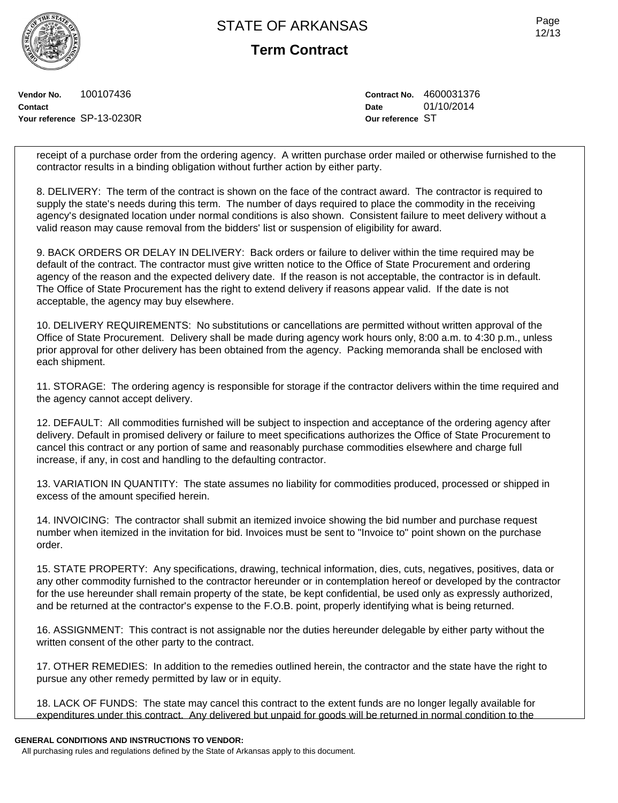**Term Contract**

**Vendor No.** 100107436 **Contact Your reference** SP-13-0230R **Contract No.** 4600031376 **Date** 01/10/2014 **Our reference** ST

receipt of a purchase order from the ordering agency. A written purchase order mailed or otherwise furnished to the contractor results in a binding obligation without further action by either party.

8. DELIVERY: The term of the contract is shown on the face of the contract award. The contractor is required to supply the state's needs during this term. The number of days required to place the commodity in the receiving agency's designated location under normal conditions is also shown. Consistent failure to meet delivery without a valid reason may cause removal from the bidders' list or suspension of eligibility for award.

9. BACK ORDERS OR DELAY IN DELIVERY: Back orders or failure to deliver within the time required may be default of the contract. The contractor must give written notice to the Office of State Procurement and ordering agency of the reason and the expected delivery date. If the reason is not acceptable, the contractor is in default. The Office of State Procurement has the right to extend delivery if reasons appear valid. If the date is not acceptable, the agency may buy elsewhere.

10. DELIVERY REQUIREMENTS: No substitutions or cancellations are permitted without written approval of the Office of State Procurement. Delivery shall be made during agency work hours only, 8:00 a.m. to 4:30 p.m., unless prior approval for other delivery has been obtained from the agency. Packing memoranda shall be enclosed with each shipment.

11. STORAGE: The ordering agency is responsible for storage if the contractor delivers within the time required and the agency cannot accept delivery.

12. DEFAULT: All commodities furnished will be subject to inspection and acceptance of the ordering agency after delivery. Default in promised delivery or failure to meet specifications authorizes the Office of State Procurement to cancel this contract or any portion of same and reasonably purchase commodities elsewhere and charge full increase, if any, in cost and handling to the defaulting contractor.

13. VARIATION IN QUANTITY: The state assumes no liability for commodities produced, processed or shipped in excess of the amount specified herein.

14. INVOICING: The contractor shall submit an itemized invoice showing the bid number and purchase request number when itemized in the invitation for bid. Invoices must be sent to "Invoice to" point shown on the purchase order.

15. STATE PROPERTY: Any specifications, drawing, technical information, dies, cuts, negatives, positives, data or any other commodity furnished to the contractor hereunder or in contemplation hereof or developed by the contractor for the use hereunder shall remain property of the state, be kept confidential, be used only as expressly authorized, and be returned at the contractor's expense to the F.O.B. point, properly identifying what is being returned.

16. ASSIGNMENT: This contract is not assignable nor the duties hereunder delegable by either party without the written consent of the other party to the contract.

17. OTHER REMEDIES: In addition to the remedies outlined herein, the contractor and the state have the right to pursue any other remedy permitted by law or in equity.

18. LACK OF FUNDS: The state may cancel this contract to the extent funds are no longer legally available for expenditures under this contract. Any delivered but unpaid for goods will be returned in normal condition to the

#### **GENERAL CONDITIONS AND INSTRUCTIONS TO VENDOR:**